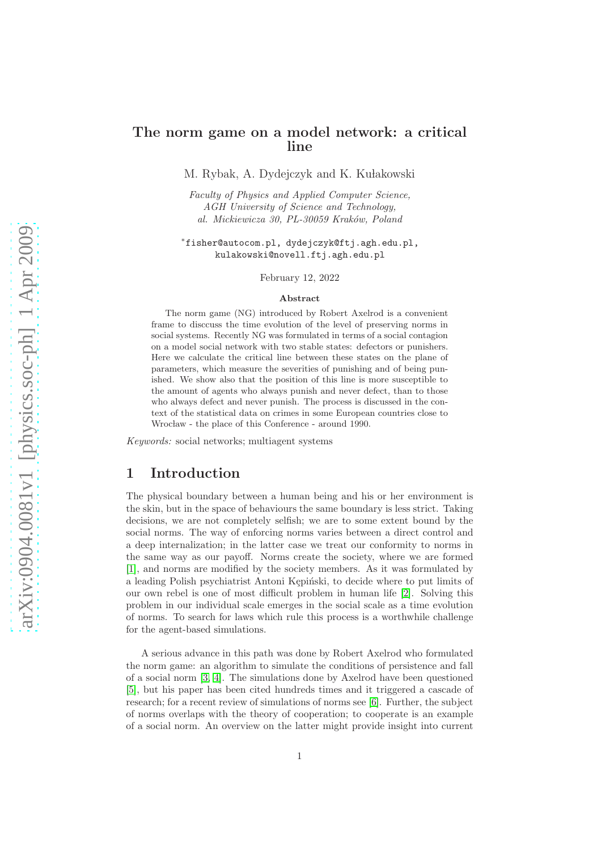## The norm game on a model network: a critical line

M. Rybak, A. Dydejczyk and K. Kułakowski

*Faculty of Physics and Applied Computer Science, AGH University of Science and Technology, al. Mickiewicza 30, PL-30059 Krak´ow, Poland*

<sup>∗</sup>fisher@autocom.pl, dydejczyk@ftj.agh.edu.pl, kulakowski@novell.ftj.agh.edu.pl

February 12, 2022

#### Abstract

The norm game (NG) introduced by Robert Axelrod is a convenient frame to disccuss the time evolution of the level of preserving norms in social systems. Recently NG was formulated in terms of a social contagion on a model social network with two stable states: defectors or punishers. Here we calculate the critical line between these states on the plane of parameters, which measure the severities of punishing and of being punished. We show also that the position of this line is more susceptible to the amount of agents who always punish and never defect, than to those who always defect and never punish. The process is discussed in the context of the statistical data on crimes in some European countries close to Wrocław - the place of this Conference - around 1990.

*Keywords:* social networks; multiagent systems

# 1 Introduction

The physical boundary between a human being and his or her environment is the skin, but in the space of behaviours the same boundary is less strict. Taking decisions, we are not completely selfish; we are to some extent bound by the social norms. The way of enforcing norms varies between a direct control and a deep internalization; in the latter case we treat our conformity to norms in the same way as our payoff. Norms create the society, where we are formed [\[1\]](#page-7-0), and norms are modified by the society members. As it was formulated by a leading Polish psychiatrist Antoni Kępiński, to decide where to put limits of our own rebel is one of most difficult problem in human life [\[2\]](#page-7-1). Solving this problem in our individual scale emerges in the social scale as a time evolution of norms. To search for laws which rule this process is a worthwhile challenge for the agent-based simulations.

A serious advance in this path was done by Robert Axelrod who formulated the norm game: an algorithm to simulate the conditions of persistence and fall of a social norm [\[3,](#page-7-2) [4\]](#page-7-3). The simulations done by Axelrod have been questioned [\[5\]](#page-7-4), but his paper has been cited hundreds times and it triggered a cascade of research; for a recent review of simulations of norms see [\[6\]](#page-7-5). Further, the subject of norms overlaps with the theory of cooperation; to cooperate is an example of a social norm. An overview on the latter might provide insight into current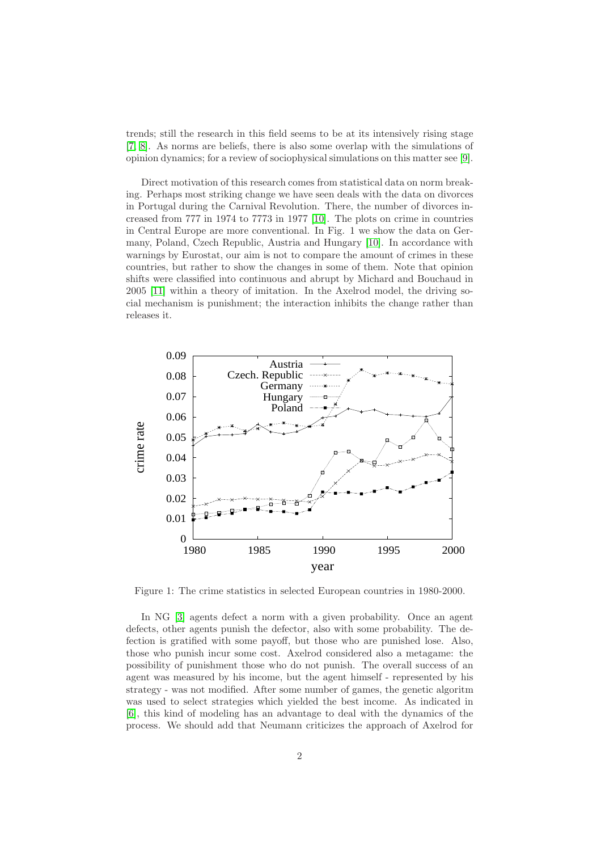trends; still the research in this field seems to be at its intensively rising stage [\[7,](#page-7-6) [8\]](#page-7-7). As norms are beliefs, there is also some overlap with the simulations of opinion dynamics; for a review of sociophysical simulations on this matter see [\[9\]](#page-7-8).

Direct motivation of this research comes from statistical data on norm breaking. Perhaps most striking change we have seen deals with the data on divorces in Portugal during the Carnival Revolution. There, the number of divorces increased from 777 in 1974 to 7773 in 1977 [\[10\]](#page-7-9). The plots on crime in countries in Central Europe are more conventional. In Fig. 1 we show the data on Germany, Poland, Czech Republic, Austria and Hungary [\[10\]](#page-7-9). In accordance with warnings by Eurostat, our aim is not to compare the amount of crimes in these countries, but rather to show the changes in some of them. Note that opinion shifts were classified into continuous and abrupt by Michard and Bouchaud in 2005 [\[11\]](#page-7-10) within a theory of imitation. In the Axelrod model, the driving social mechanism is punishment; the interaction inhibits the change rather than releases it.



Figure 1: The crime statistics in selected European countries in 1980-2000.

In NG [\[3\]](#page-7-2) agents defect a norm with a given probability. Once an agent defects, other agents punish the defector, also with some probability. The defection is gratified with some payoff, but those who are punished lose. Also, those who punish incur some cost. Axelrod considered also a metagame: the possibility of punishment those who do not punish. The overall success of an agent was measured by his income, but the agent himself - represented by his strategy - was not modified. After some number of games, the genetic algoritm was used to select strategies which yielded the best income. As indicated in [\[6\]](#page-7-5), this kind of modeling has an advantage to deal with the dynamics of the process. We should add that Neumann criticizes the approach of Axelrod for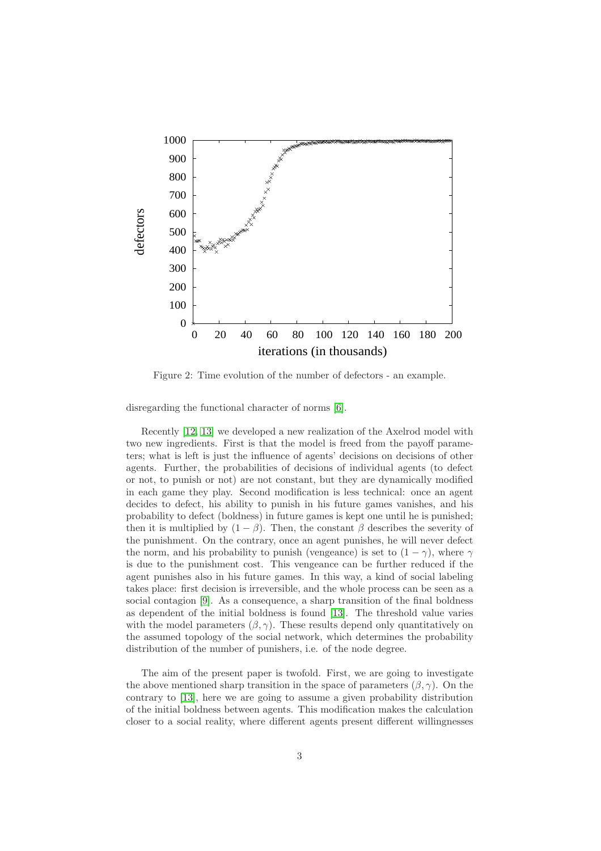

Figure 2: Time evolution of the number of defectors - an example.

disregarding the functional character of norms [\[6\]](#page-7-5).

Recently [\[12,](#page-7-11) [13\]](#page-7-12) we developed a new realization of the Axelrod model with two new ingredients. First is that the model is freed from the payoff parameters; what is left is just the influence of agents' decisions on decisions of other agents. Further, the probabilities of decisions of individual agents (to defect or not, to punish or not) are not constant, but they are dynamically modified in each game they play. Second modification is less technical: once an agent decides to defect, his ability to punish in his future games vanishes, and his probability to defect (boldness) in future games is kept one until he is punished; then it is multiplied by  $(1 - \beta)$ . Then, the constant  $\beta$  describes the severity of the punishment. On the contrary, once an agent punishes, he will never defect the norm, and his probability to punish (vengeance) is set to  $(1 - \gamma)$ , where  $\gamma$ is due to the punishment cost. This vengeance can be further reduced if the agent punishes also in his future games. In this way, a kind of social labeling takes place: first decision is irreversible, and the whole process can be seen as a social contagion [\[9\]](#page-7-8). As a consequence, a sharp transition of the final boldness as dependent of the initial boldness is found [\[13\]](#page-7-12). The threshold value varies with the model parameters  $(\beta, \gamma)$ . These results depend only quantitatively on the assumed topology of the social network, which determines the probability distribution of the number of punishers, i.e. of the node degree.

The aim of the present paper is twofold. First, we are going to investigate the above mentioned sharp transition in the space of parameters  $(\beta, \gamma)$ . On the contrary to [\[13\]](#page-7-12), here we are going to assume a given probability distribution of the initial boldness between agents. This modification makes the calculation closer to a social reality, where different agents present different willingnesses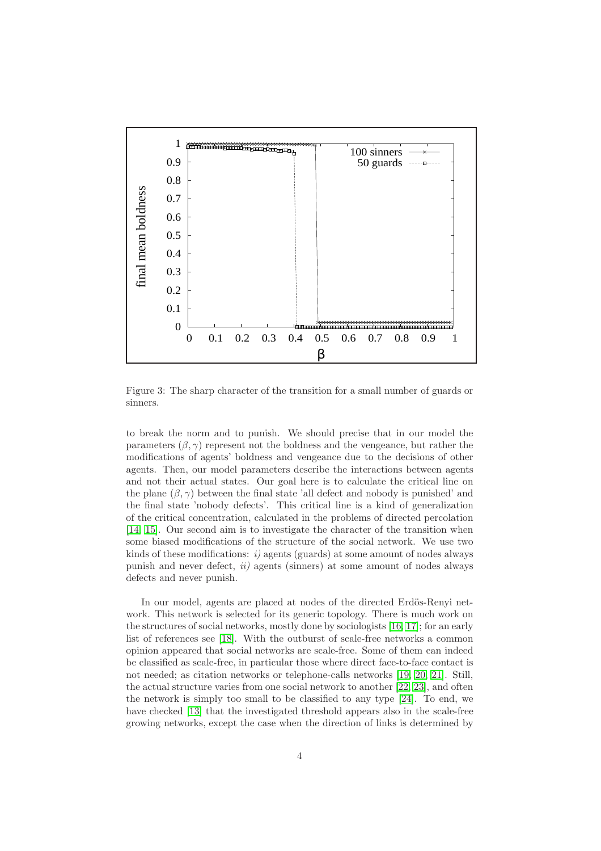

Figure 3: The sharp character of the transition for a small number of guards or sinners.

to break the norm and to punish. We should precise that in our model the parameters  $(\beta, \gamma)$  represent not the boldness and the vengeance, but rather the modifications of agents' boldness and vengeance due to the decisions of other agents. Then, our model parameters describe the interactions between agents and not their actual states. Our goal here is to calculate the critical line on the plane  $(\beta, \gamma)$  between the final state 'all defect and nobody is punished' and the final state 'nobody defects'. This critical line is a kind of generalization of the critical concentration, calculated in the problems of directed percolation [\[14,](#page-7-13) [15\]](#page-7-14). Our second aim is to investigate the character of the transition when some biased modifications of the structure of the social network. We use two kinds of these modifications: *i)* agents (guards) at some amount of nodes always punish and never defect, *ii)* agents (sinners) at some amount of nodes always defects and never punish.

In our model, agents are placed at nodes of the directed Erdös-Renyi network. This network is selected for its generic topology. There is much work on the structures of social networks, mostly done by sociologists [\[16,](#page-8-0) [17\]](#page-8-1); for an early list of references see [\[18\]](#page-8-2). With the outburst of scale-free networks a common opinion appeared that social networks are scale-free. Some of them can indeed be classified as scale-free, in particular those where direct face-to-face contact is not needed; as citation networks or telephone-calls networks [\[19,](#page-8-3) [20,](#page-8-4) [21\]](#page-8-5). Still, the actual structure varies from one social network to another [\[22,](#page-8-6) [23\]](#page-8-7), and often the network is simply too small to be classified to any type [\[24\]](#page-8-8). To end, we have checked [\[13\]](#page-7-12) that the investigated threshold appears also in the scale-free growing networks, except the case when the direction of links is determined by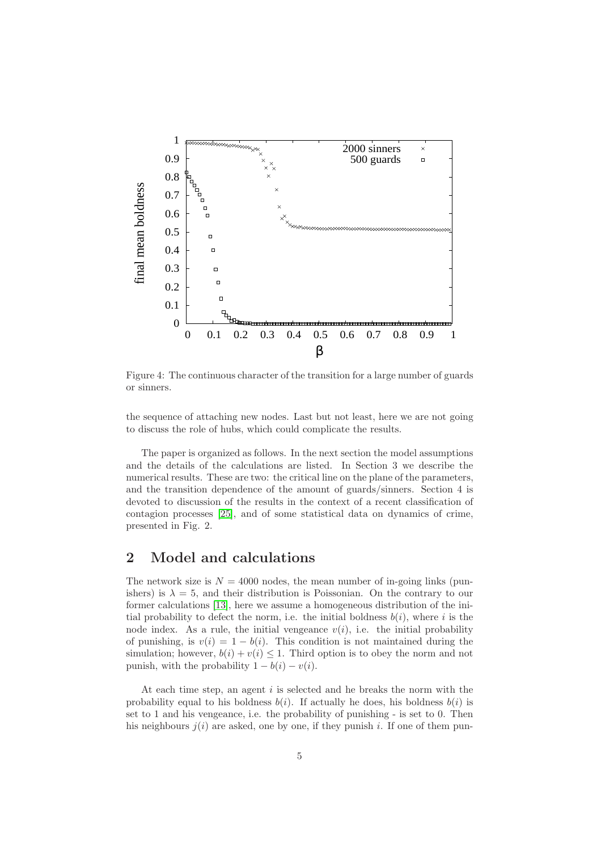

Figure 4: The continuous character of the transition for a large number of guards or sinners.

the sequence of attaching new nodes. Last but not least, here we are not going to discuss the role of hubs, which could complicate the results.

The paper is organized as follows. In the next section the model assumptions and the details of the calculations are listed. In Section 3 we describe the numerical results. These are two: the critical line on the plane of the parameters, and the transition dependence of the amount of guards/sinners. Section 4 is devoted to discussion of the results in the context of a recent classification of contagion processes [\[25\]](#page-8-9), and of some statistical data on dynamics of crime, presented in Fig. 2.

#### 2 Model and calculations

The network size is  $N = 4000$  nodes, the mean number of in-going links (punishers) is  $\lambda = 5$ , and their distribution is Poissonian. On the contrary to our former calculations [\[13\]](#page-7-12), here we assume a homogeneous distribution of the initial probability to defect the norm, i.e. the initial boldness  $b(i)$ , where i is the node index. As a rule, the initial vengeance  $v(i)$ , i.e. the initial probability of punishing, is  $v(i) = 1 - b(i)$ . This condition is not maintained during the simulation; however,  $b(i) + v(i) \leq 1$ . Third option is to obey the norm and not punish, with the probability  $1 - b(i) - v(i)$ .

At each time step, an agent  $i$  is selected and he breaks the norm with the probability equal to his boldness  $b(i)$ . If actually he does, his boldness  $b(i)$  is set to 1 and his vengeance, i.e. the probability of punishing - is set to 0. Then his neighbours  $i(i)$  are asked, one by one, if they punish i. If one of them pun-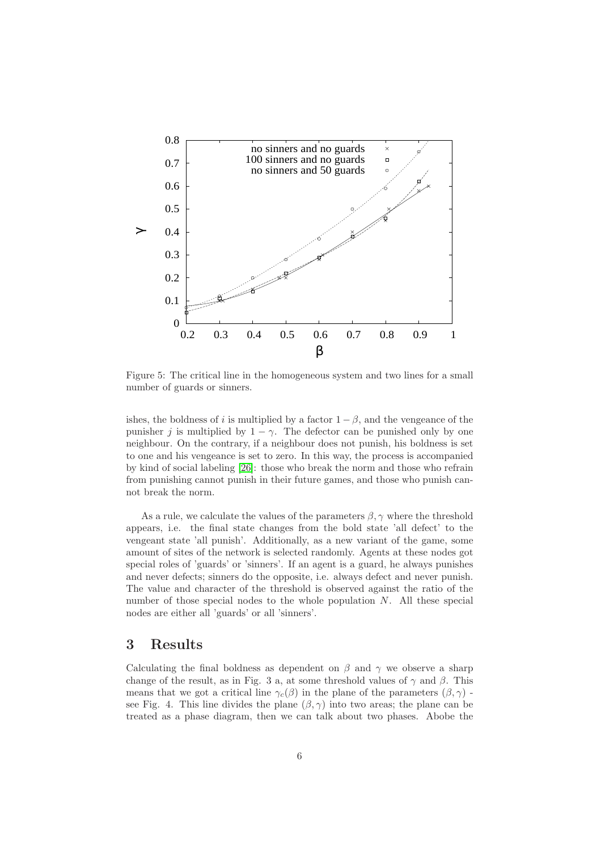

Figure 5: The critical line in the homogeneous system and two lines for a small number of guards or sinners.

ishes, the boldness of i is multiplied by a factor  $1 - \beta$ , and the vengeance of the punisher j is multiplied by  $1 - \gamma$ . The defector can be punished only by one neighbour. On the contrary, if a neighbour does not punish, his boldness is set to one and his vengeance is set to zero. In this way, the process is accompanied by kind of social labeling [\[26\]](#page-8-10): those who break the norm and those who refrain from punishing cannot punish in their future games, and those who punish cannot break the norm.

As a rule, we calculate the values of the parameters  $\beta$ ,  $\gamma$  where the threshold appears, i.e. the final state changes from the bold state 'all defect' to the vengeant state 'all punish'. Additionally, as a new variant of the game, some amount of sites of the network is selected randomly. Agents at these nodes got special roles of 'guards' or 'sinners'. If an agent is a guard, he always punishes and never defects; sinners do the opposite, i.e. always defect and never punish. The value and character of the threshold is observed against the ratio of the number of those special nodes to the whole population  $N$ . All these special nodes are either all 'guards' or all 'sinners'.

#### 3 Results

Calculating the final boldness as dependent on  $\beta$  and  $\gamma$  we observe a sharp change of the result, as in Fig. 3 a, at some threshold values of  $\gamma$  and  $\beta$ . This means that we got a critical line  $\gamma_c(\beta)$  in the plane of the parameters  $(\beta, \gamma)$ . see Fig. 4. This line divides the plane  $(\beta, \gamma)$  into two areas; the plane can be treated as a phase diagram, then we can talk about two phases. Abobe the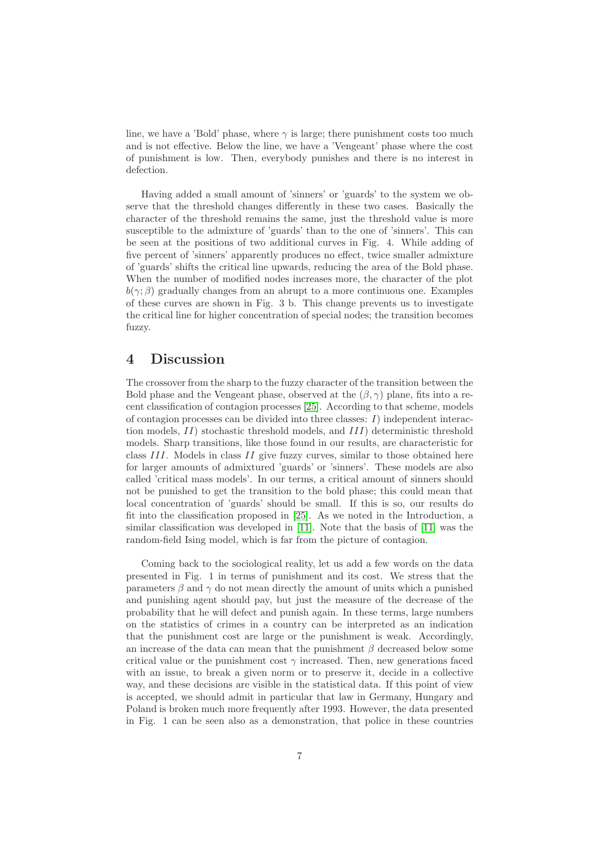line, we have a 'Bold' phase, where  $\gamma$  is large; there punishment costs too much and is not effective. Below the line, we have a 'Vengeant' phase where the cost of punishment is low. Then, everybody punishes and there is no interest in defection.

Having added a small amount of 'sinners' or 'guards' to the system we observe that the threshold changes differently in these two cases. Basically the character of the threshold remains the same, just the threshold value is more susceptible to the admixture of 'guards' than to the one of 'sinners'. This can be seen at the positions of two additional curves in Fig. 4. While adding of five percent of 'sinners' apparently produces no effect, twice smaller admixture of 'guards' shifts the critical line upwards, reducing the area of the Bold phase. When the number of modified nodes increases more, the character of the plot  $b(\gamma;\beta)$  gradually changes from an abrupt to a more continuous one. Examples of these curves are shown in Fig. 3 b. This change prevents us to investigate the critical line for higher concentration of special nodes; the transition becomes fuzzy.

## 4 Discussion

The crossover from the sharp to the fuzzy character of the transition between the Bold phase and the Vengeant phase, observed at the  $(\beta, \gamma)$  plane, fits into a recent classification of contagion processes [\[25\]](#page-8-9). According to that scheme, models of contagion processes can be divided into three classes:  $I$ ) independent interaction models,  $II$ ) stochastic threshold models, and  $III$ ) deterministic threshold models. Sharp transitions, like those found in our results, are characteristic for class III. Models in class II give fuzzy curves, similar to those obtained here for larger amounts of admixtured 'guards' or 'sinners'. These models are also called 'critical mass models'. In our terms, a critical amount of sinners should not be punished to get the transition to the bold phase; this could mean that local concentration of 'guards' should be small. If this is so, our results do fit into the classification proposed in [\[25\]](#page-8-9). As we noted in the Introduction, a similar classification was developed in [\[11\]](#page-7-10). Note that the basis of [\[11\]](#page-7-10) was the random-field Ising model, which is far from the picture of contagion.

Coming back to the sociological reality, let us add a few words on the data presented in Fig. 1 in terms of punishment and its cost. We stress that the parameters  $\beta$  and  $\gamma$  do not mean directly the amount of units which a punished and punishing agent should pay, but just the measure of the decrease of the probability that he will defect and punish again. In these terms, large numbers on the statistics of crimes in a country can be interpreted as an indication that the punishment cost are large or the punishment is weak. Accordingly, an increase of the data can mean that the punishment  $\beta$  decreased below some critical value or the punishment cost  $\gamma$  increased. Then, new generations faced with an issue, to break a given norm or to preserve it, decide in a collective way, and these decisions are visible in the statistical data. If this point of view is accepted, we should admit in particular that law in Germany, Hungary and Poland is broken much more frequently after 1993. However, the data presented in Fig. 1 can be seen also as a demonstration, that police in these countries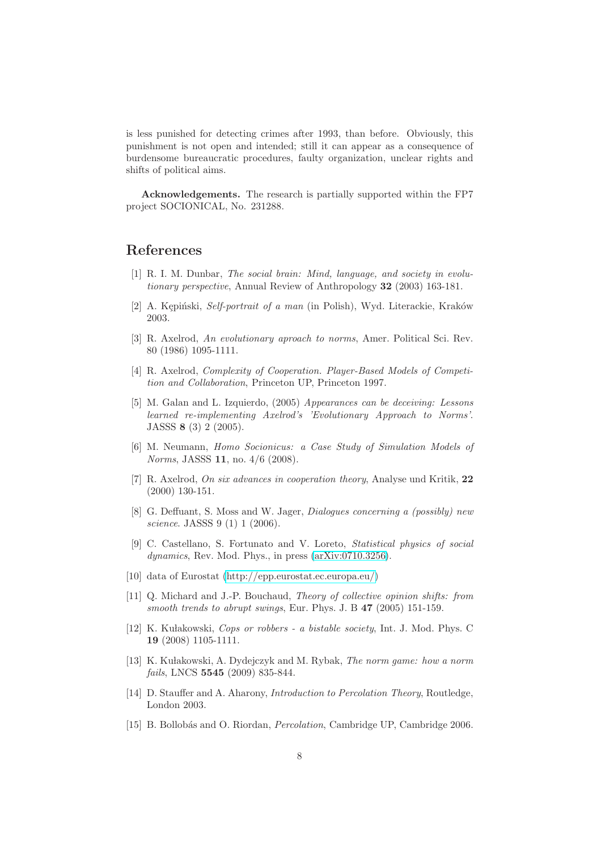is less punished for detecting crimes after 1993, than before. Obviously, this punishment is not open and intended; still it can appear as a consequence of burdensome bureaucratic procedures, faulty organization, unclear rights and shifts of political aims.

Acknowledgements. The research is partially supported within the FP7 project SOCIONICAL, No. 231288.

# <span id="page-7-0"></span>References

- [1] R. I. M. Dunbar, *The social brain: Mind, language, and society in evolutionary perspective*, Annual Review of Anthropology 32 (2003) 163-181.
- <span id="page-7-2"></span><span id="page-7-1"></span>[2] A. Kepiński, *Self-portrait of a man* (in Polish), Wyd. Literackie, Kraków 2003.
- [3] R. Axelrod, *An evolutionary aproach to norms*, Amer. Political Sci. Rev. 80 (1986) 1095-1111.
- <span id="page-7-3"></span>[4] R. Axelrod, *Complexity of Cooperation. Player-Based Models of Competition and Collaboration*, Princeton UP, Princeton 1997.
- <span id="page-7-4"></span>[5] M. Galan and L. Izquierdo, (2005) *Appearances can be deceiving: Lessons learned re-implementing Axelrod's 'Evolutionary Approach to Norms'*. JASSS 8 (3) 2 (2005).
- <span id="page-7-5"></span>[6] M. Neumann, *Homo Socionicus: a Case Study of Simulation Models of Norms*, JASSS 11, no. 4/6 (2008).
- <span id="page-7-6"></span>[7] R. Axelrod, *On six advances in cooperation theory*, Analyse und Kritik, 22 (2000) 130-151.
- <span id="page-7-7"></span>[8] G. Deffuant, S. Moss and W. Jager, *Dialogues concerning a (possibly) new science*. JASSS 9 (1) 1 (2006).
- <span id="page-7-8"></span>[9] C. Castellano, S. Fortunato and V. Loreto, *Statistical physics of social dynamics*, Rev. Mod. Phys., in press [\(arXiv:0710.3256\)](http://arxiv.org/abs/0710.3256).
- <span id="page-7-10"></span><span id="page-7-9"></span>[10] data of Eurostat [\(http://epp.eurostat.ec.europa.eu/\)](http://epp.eurostat.ec.europa.eu/)
- [11] Q. Michard and J.-P. Bouchaud, *Theory of collective opinion shifts: from smooth trends to abrupt swings*, Eur. Phys. J. B 47 (2005) 151-159.
- <span id="page-7-11"></span>[12] K. Ku lakowski, *Cops or robbers - a bistable society*, Int. J. Mod. Phys. C 19 (2008) 1105-1111.
- <span id="page-7-12"></span>[13] K. Ku lakowski, A. Dydejczyk and M. Rybak, *The norm game: how a norm fails*, LNCS 5545 (2009) 835-844.
- <span id="page-7-14"></span><span id="page-7-13"></span>[14] D. Stauffer and A. Aharony, *Introduction to Percolation Theory*, Routledge, London 2003.
- [15] B. Bollob´as and O. Riordan, *Percolation*, Cambridge UP, Cambridge 2006.